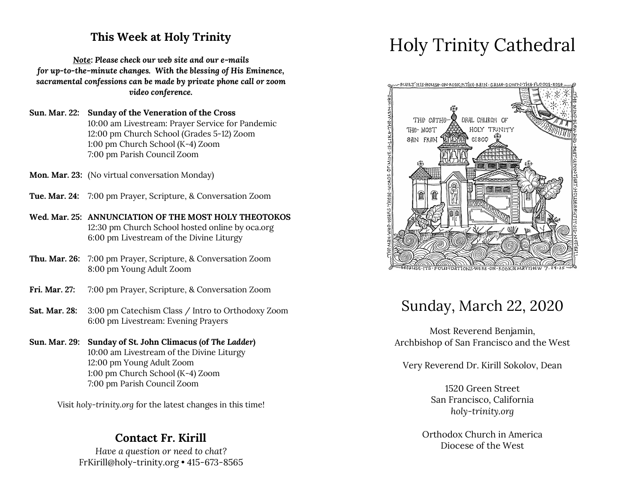### **This Week at Holy Trinity**

*Note: Please check our web site and our e-mails for up-to-the-minute changes. With the blessing of His Eminence, sacramental confessions can be made by private phone call or zoom video conference.*

**Sun. Mar. 22: Sunday of the Veneration of the Cross** 10:00 am Livestream: Prayer Service for Pandemic 12:00 pm Church School (Grades 5-12) Zoom 1:00 pm Church School (K-4) Zoom 7:00 pm Parish Council Zoom

- **Mon. Mar. 23:** (No virtual conversation Monday)
- **Tue. Mar. 24:** 7:00 pm Prayer, Scripture, & Conversation Zoom
- **Wed. Mar. 25: ANNUNCIATION OF THE MOST HOLY THEOTOKOS** 12:30 pm Church School hosted online by oca.org 6:00 pm Livestream of the Divine Liturgy
- **Thu. Mar. 26:** 7:00 pm Prayer, Scripture, & Conversation Zoom 8:00 pm Young Adult Zoom
- **Fri. Mar. 27:** 7:00 pm Prayer, Scripture, & Conversation Zoom
- **Sat. Mar. 28:** 3:00 pm Catechism Class / Intro to Orthodoxy Zoom 6:00 pm Livestream: Evening Prayers

#### **Sun. Mar. 29: Sunday of St. John Climacus (of** *The Ladder***)** 10:00 am Livestream of the Divine Liturgy 12:00 pm Young Adult Zoom 1:00 pm Church School (K-4) Zoom 7:00 pm Parish Council Zoom

Visit *holy-trinity.org* for the latest changes in this time!

#### **Contact Fr. Kirill**

*Have a question or need to chat?* FrKirill@holy-trinity.org • 415-673-8565

# Holy Trinity Cathedral



### Sunday, March 22, 2020

Most Reverend Benjamin, Archbishop of San Francisco and the West

Very Reverend Dr. Kirill Sokolov, Dean

1520 Green Street San Francisco, California *holy-trinity.org*

Orthodox Church in America Diocese of the West